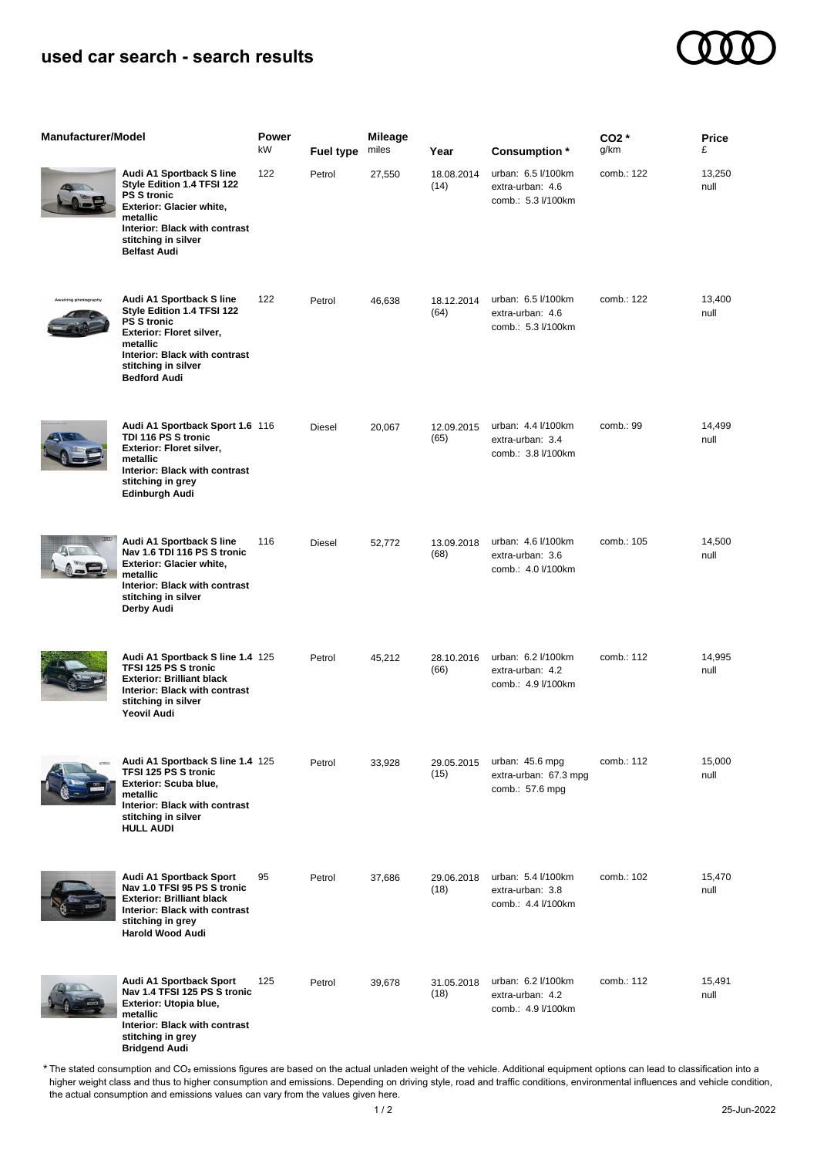## **used car search - search results**

**Bridgend Audi**



| <b>Manufacturer/Model</b> |                                                                                                                                                                                                     | Power<br>kW | Fuel type     | <b>Mileage</b><br>miles | Year               | Consumption *                                                | CO <sub>2</sub> *<br>g/km | <b>Price</b><br>£ |
|---------------------------|-----------------------------------------------------------------------------------------------------------------------------------------------------------------------------------------------------|-------------|---------------|-------------------------|--------------------|--------------------------------------------------------------|---------------------------|-------------------|
|                           | Audi A1 Sportback S line<br>Style Edition 1.4 TFSI 122<br><b>PS S tronic</b><br>Exterior: Glacier white,<br>metallic<br>Interior: Black with contrast<br>stitching in silver<br><b>Belfast Audi</b> | 122         | Petrol        | 27,550                  | 18.08.2014<br>(14) | urban: 6.5 l/100km<br>extra-urban: 4.6<br>comb.: 5.3 l/100km | comb.: 122                | 13,250<br>null    |
| ng photograph             | Audi A1 Sportback S line<br>Style Edition 1.4 TFSI 122<br><b>PS S tronic</b><br>Exterior: Floret silver,<br>metallic<br>Interior: Black with contrast<br>stitching in silver<br><b>Bedford Audi</b> | 122         | Petrol        | 46,638                  | 18.12.2014<br>(64) | urban: 6.5 l/100km<br>extra-urban: 4.6<br>comb.: 5.3 l/100km | comb.: 122                | 13,400<br>null    |
|                           | Audi A1 Sportback Sport 1.6 116<br>TDI 116 PS S tronic<br>Exterior: Floret silver,<br>metallic<br>Interior: Black with contrast<br>stitching in grey<br>Edinburgh Audi                              |             | Diesel        | 20,067                  | 12.09.2015<br>(65) | urban: 4.4 l/100km<br>extra-urban: 3.4<br>comb.: 3.8 l/100km | comb.: 99                 | 14,499<br>null    |
|                           | Audi A1 Sportback S line<br>Nav 1.6 TDI 116 PS S tronic<br>Exterior: Glacier white,<br>metallic<br>Interior: Black with contrast<br>stitching in silver<br>Derby Audi                               | 116         | <b>Diesel</b> | 52,772                  | 13.09.2018<br>(68) | urban: 4.6 l/100km<br>extra-urban: 3.6<br>comb.: 4.0 l/100km | comb.: 105                | 14,500<br>null    |
|                           | Audi A1 Sportback S line 1.4 125<br>TFSI 125 PS S tronic<br><b>Exterior: Brilliant black</b><br>Interior: Black with contrast<br>stitching in silver<br><b>Yeovil Audi</b>                          |             | Petrol        | 45,212                  | 28.10.2016<br>(66) | urban: 6.2 l/100km<br>extra-urban: 4.2<br>comb.: 4.9 l/100km | comb.: 112                | 14,995<br>null    |
|                           | Audi A1 Sportback S line 1.4 125<br>TFSI 125 PS S tronic<br><b>Exterior: Scuba blue,</b><br>metallic<br>Interior: Black with contrast<br>stitching in silver<br><b>HULL AUDI</b>                    |             | Petrol        | 33,928                  | 29.05.2015<br>(15) | urban: 45.6 mpg<br>extra-urban: 67.3 mpg<br>comb.: 57.6 mpg  | comb.: 112                | 15,000<br>null    |
|                           | Audi A1 Sportback Sport<br>Nav 1.0 TFSI 95 PS S tronic<br><b>Exterior: Brilliant black</b><br>Interior: Black with contrast<br>stitching in grey<br><b>Harold Wood Audi</b>                         | 95          | Petrol        | 37,686                  | 29.06.2018<br>(18) | urban: 5.4 l/100km<br>extra-urban: 3.8<br>comb.: 4.4 l/100km | comb.: 102                | 15,470<br>null    |
|                           | Audi A1 Sportback Sport<br>Nav 1.4 TFSI 125 PS S tronic<br>Exterior: Utopia blue,<br>metallic<br>Interior: Black with contrast<br>stitching in grey                                                 | 125         | Petrol        | 39,678                  | 31.05.2018<br>(18) | urban: 6.2 l/100km<br>extra-urban: 4.2<br>comb.: 4.9 l/100km | comb.: 112                | 15,491<br>null    |

The stated consumption and CO₂ emissions figures are based on the actual unladen weight of the vehicle. Additional equipment options can lead to classification into a higher weight class and thus to higher consumption and emissions. Depending on driving style, road and traffic conditions, environmental influences and vehicle condition, the actual consumption and emissions values can vary from the values given here. \*